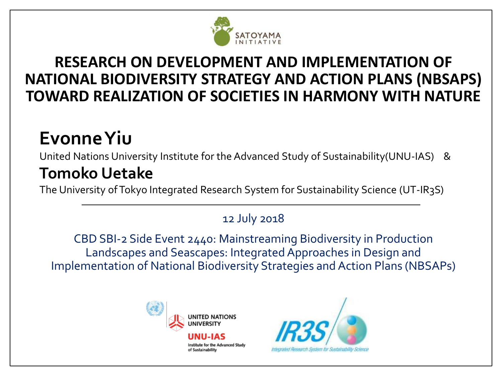

#### **RESEARCH ON DEVELOPMENT AND IMPLEMENTATION OF NATIONAL BIODIVERSITY STRATEGY AND ACTION PLANS (NBSAPS) TOWARD REALIZATION OF SOCIETIES IN HARMONY WITH NATURE**

#### **Evonne Yiu**

United Nations University Institute for the Advanced Study of Sustainability(UNU-IAS) &

#### **Tomoko Uetake**

The University of Tokyo Integrated Research System for Sustainability Science (UT-IR3S)

#### 12 July 2018

CBD SBI-2 Side Event 2440: Mainstreaming Biodiversity in Production Landscapes and Seascapes: Integrated Approaches in Design and Implementation of National Biodiversity Strategies and Action Plans (NBSAPs)



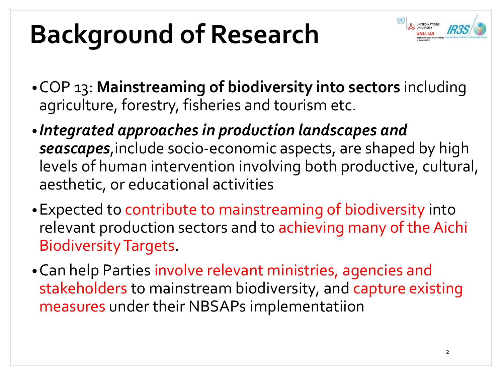# **Background of Research**



- •COP 13: **Mainstreaming of biodiversity into sectors** including agriculture, forestry, fisheries and tourism etc.
- *Integrated approaches in production landscapes and seascapes*,include socio-economic aspects, are shaped by high levels of human intervention involving both productive, cultural, aesthetic, or educational activities
- •Expected to contribute to mainstreaming of biodiversity into relevant production sectors and to achieving many of the Aichi Biodiversity Targets.
- •Can help Parties involve relevant ministries, agencies and stakeholders to mainstream biodiversity, and capture existing measures under their NBSAPs implementatiion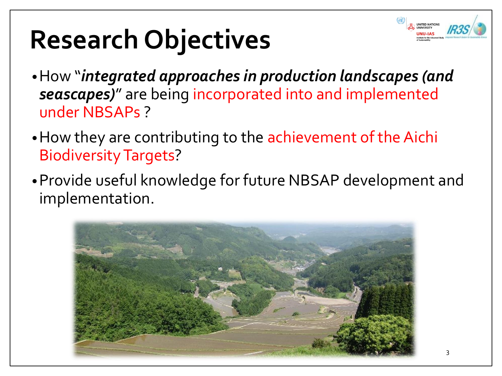## **Research Objectives**

- 
- •How "*integrated approaches in production landscapes (and seascapes)*" are being incorporated into and implemented under NBSAPs ?
- •How they are contributing to the achievement of the Aichi Biodiversity Targets?
- •Provide useful knowledge for future NBSAP development and implementation.

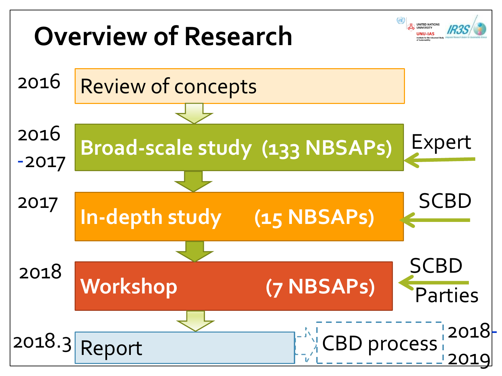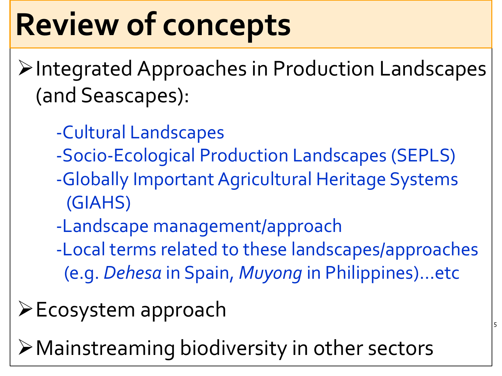# **Review of concepts**

- Integrated Approaches in Production Landscapes (and Seascapes):
	- -Cultural Landscapes
	- -Socio-Ecological Production Landscapes (SEPLS)
	- -Globally Important Agricultural Heritage Systems (GIAHS)
	- -Landscape management/approach
	- -Local terms related to these landscapes/approaches (e.g. *Dehesa* in Spain, *Muyong* in Philippines)…etc

5

- $\triangleright$  Ecosystem approach
- Mainstreaming biodiversity in other sectors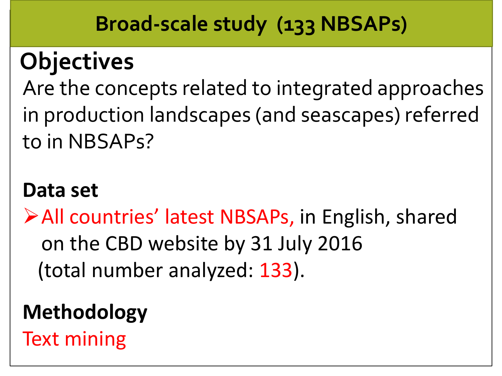#### **Broad-scale study (133 NBSAPs)**

## **Objectives**

Are the concepts related to integrated approaches in production landscapes (and seascapes) referred to in NBSAPs?

#### **Data set**

All countries' latest NBSAPs, in English, shared on the CBD website by 31 July 2016 (total number analyzed: 133).

### **Methodology**

Text mining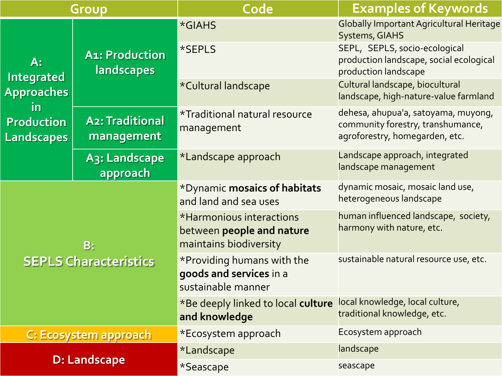| Group                                                                                           |                                        | Code                                                                            | <b>Examples of Keywords</b>                                                                                |
|-------------------------------------------------------------------------------------------------|----------------------------------------|---------------------------------------------------------------------------------|------------------------------------------------------------------------------------------------------------|
| $A$ :<br><b>Integrated</b><br><b>Approaches</b><br><u>in</u><br><b>Production</b><br>Landscapes | <b>A1: Production</b><br>landscapes    | *GIAHS                                                                          | <b>Globally Important Agricultural Heritage</b><br><b>Systems, GIAHS</b>                                   |
|                                                                                                 |                                        | *SEPLS                                                                          | SEPL, SEPLS, socio-ecological<br>production landscape, social ecological<br>production landscape           |
|                                                                                                 |                                        | *Cultural landscape                                                             | Cultural landscape, biocultural<br>landscape, high-nature-value farmland                                   |
|                                                                                                 | <b>A2: Traditional</b><br>management   | <i><b>*Traditional natural resource</b></i><br>management                       | dehesa, ahupua'a, satoyama, muyong,<br>community forestry, transhumance,<br>agroforestry, homegarden, etc. |
|                                                                                                 | A <sub>3</sub> : Landscape<br>approach | *Landscape approach                                                             | Landscape approach, integrated<br>landscape management                                                     |
| B:<br><b>SEPLS Characteristics</b>                                                              |                                        | *Dynamic mosaics of habitats<br>and land and sea uses                           | dynamic mosaic, mosaic land use,<br>heterogeneous landscape                                                |
|                                                                                                 |                                        | *Harmonious interactions<br>between people and nature<br>maintains biodiversity | human influenced landscape, society,<br>harmony with nature, etc.                                          |
|                                                                                                 |                                        | *Providing humans with the<br>goods and services in a<br>sustainable manner     | sustainable natural resource use, etc.                                                                     |
|                                                                                                 |                                        | *Be deeply linked to local culture<br>and knowledge                             | local knowledge, local culture,<br>traditional knowledge, etc.                                             |
| C: Ecosystem approach                                                                           |                                        | *Ecosystem approach                                                             | Ecosystem approach                                                                                         |
| <b>D: Landscape</b>                                                                             |                                        | *Landscape                                                                      | landscape                                                                                                  |
|                                                                                                 |                                        | *Seascape                                                                       | seascape                                                                                                   |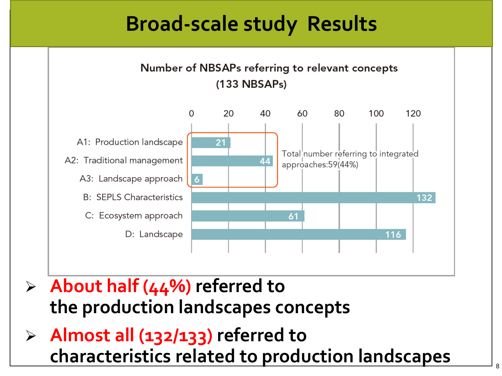#### **Broad-scale study Results**



- **About half (44%) referred to the production landscapes concepts**
- **Almost all (132/133) referred to characteristics related to production landscapes**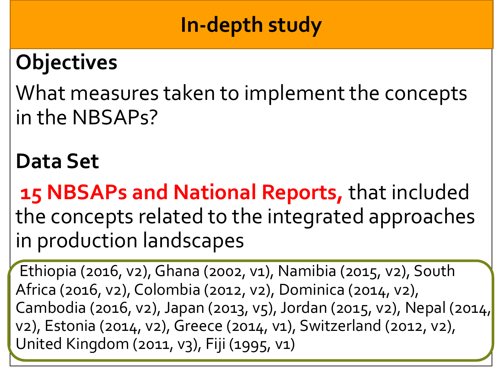#### **In-depth study**

### **Objectives**

What measures taken to implement the concepts in the NBSAPs?

#### **Data Set**

**15 NBSAPs and National Reports,** that included the concepts related to the integrated approaches in production landscapes

Ethiopia (2016, v2), Ghana (2002, v1), Namibia (2015, v2), South Africa (2016, v2), Colombia (2012, v2), Dominica (2014, v2), Cambodia (2016, v2), Japan (2013, v5), Jordan (2015, v2), Nepal (2014, v2), Estonia (2014, v2), Greece (2014, v1), Switzerland (2012, v2), United Kingdom (2011, v3), Fiji (1995, v1)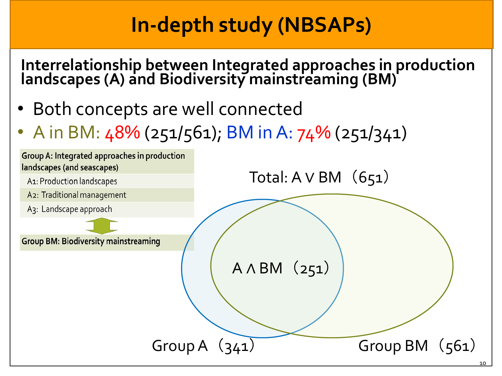#### **In-depth study (NBSAPs)**

**Interrelationship between Integrated approaches in production landscapes (A) and Biodiversity mainstreaming (BM)**

- Both concepts are well connected
- A in BM:  $48\%$  (251/561); BM in A: 74% (251/341)

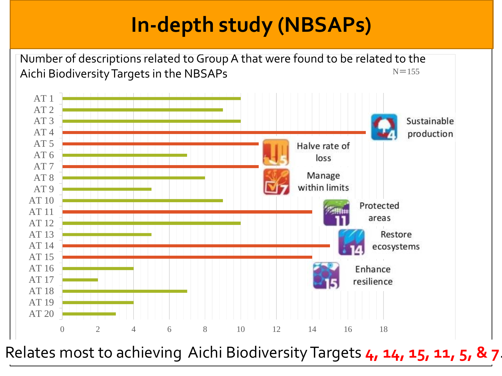### **In-depth study (NBSAPs)**



Relates most to achieving Aichi Biodiversity Targets **4, 14, 15, 11, 5, & 7**.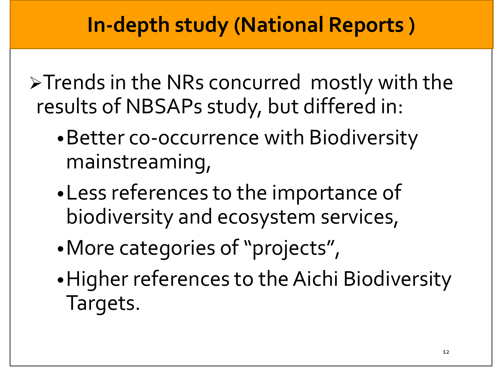>Trends in the NRs concurred mostly with the results of NBSAPs study, but differed in:

- •Better co-occurrence with Biodiversity mainstreaming,
- •Less references to the importance of biodiversity and ecosystem services,
- •More categories of "projects",
- •Higher references to the Aichi Biodiversity Targets.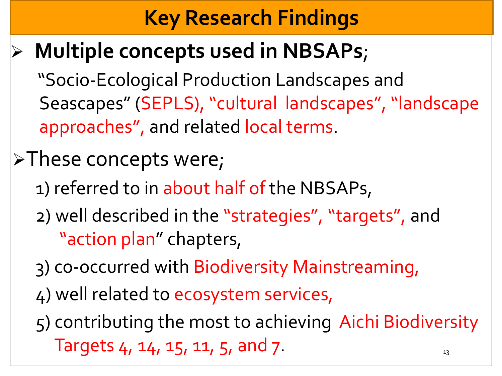### **Key Research Findings**

#### **Multiple concepts used in NBSAPs**;

"Socio-Ecological Production Landscapes and Seascapes" (SEPLS), "cultural landscapes", "landscape approaches", and related local terms.

#### >These concepts were;

- 1) referred to in about half of the NBSAPs,
- 2) well described in the "strategies", "targets", and "action plan" chapters,
- 3) co-occurred with Biodiversity Mainstreaming,
- 4) well related to ecosystem services,
- 5) contributing the most to achieving Aichi Biodiversity Targets  $4$ ,  $14$ ,  $15$ ,  $11$ ,  $5$ , and  $7$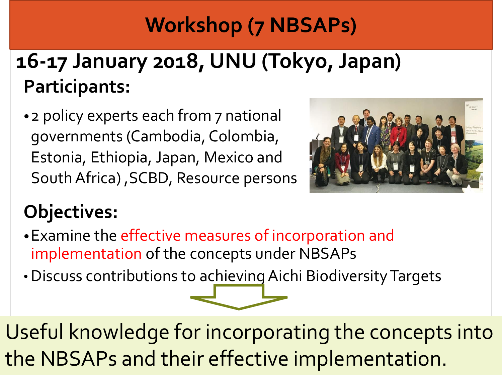### **Workshop (7 NBSAPs)**

### **16-17 January 2018, UNU (Tokyo, Japan) Participants:**

• 2 policy experts each from 7 national governments (Cambodia, Colombia, Estonia, Ethiopia, Japan, Mexico and South Africa), SCBD, Resource persons



#### **Objectives:**

- •Examine the effective measures of incorporation and implementation of the concepts under NBSAPs
- Discuss contributions to achieving Aichi Biodiversity Targets

Useful knowledge for incorporating the concepts into the NBSAPs and their effective implementation.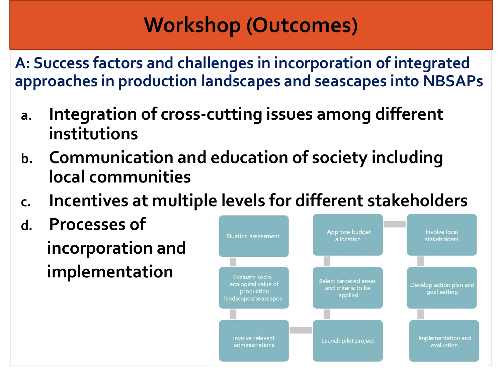**A: Success factors and challenges in incorporation of integrated approaches in production landscapes and seascapes into NBSAPs**

- **a. Integration of cross-cutting issues among different institutions**
- **b. Communication and education of society including local communities**
- **c. Incentives at multiple levels for different stakeholders**
- **d. Processes of incorporation and implementation**

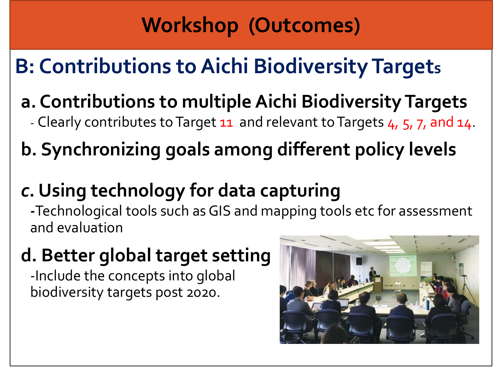## **B: Contributions to Aichi Biodiversity Targets**

#### **a. Contributions to multiple Aichi Biodiversity Targets**

- Clearly contributes to Target 11 and relevant to Targets 4, 5, 7, and 14.

#### **b. Synchronizing goals among different policy levels**

#### *c***. Using technology for data capturing**

*-*Technological tools such as GIS and mapping tools etc for assessment and evaluation

#### **d. Better global target setting**

-Include the concepts into global biodiversity targets post 2020.

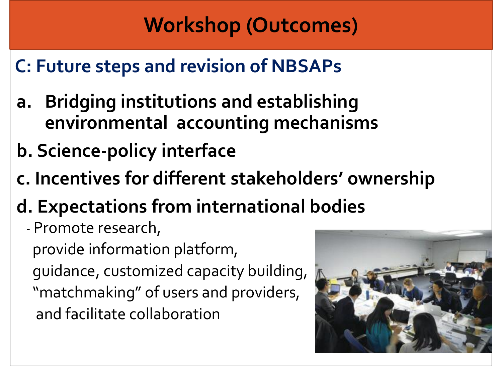#### **C: Future steps and revision of NBSAPs**

- **a. Bridging institutions and establishing environmental accounting mechanisms**
- **b. Science-policy interface**
- **c. Incentives for different stakeholders' ownership**
- **d. Expectations from international bodies**
	- Promote research,

provide information platform, guidance, customized capacity building, "matchmaking" of users and providers, and facilitate collaboration

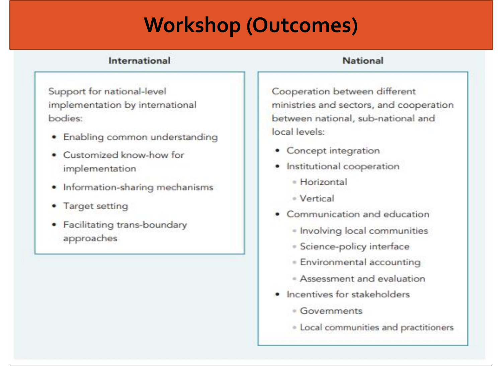#### International

#### **National**

Support for national-level implementation by international bodies:

- · Enabling common understanding
- Customized know-how for implementation
- · Information-sharing mechanisms
- Target setting
- Facilitating trans-boundary approaches

Cooperation between different ministries and sectors, and cooperation between national, sub-national and local levels:

- Concept integration
- · Institutional cooperation
	- · Horizontal
	- Vertical
- Communication and education
	- · Involving local communities
	- · Science-policy interface
	- · Environmental accounting
	- · Assessment and evaluation
- · Incentives for stakeholders
	- · Governments
	- · Local communities and practitioners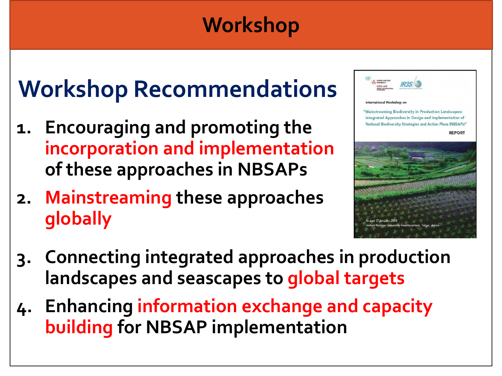#### **Workshop**

## **Workshop Recommendations**

- **1. Encouraging and promoting the incorporation and implementation of these approaches in NBSAPs**
- **2. Mainstreaming these approaches globally**



- **3. Connecting integrated approaches in production landscapes and seascapes to global targets**
- **4. Enhancing information exchange and capacity building for NBSAP implementation**